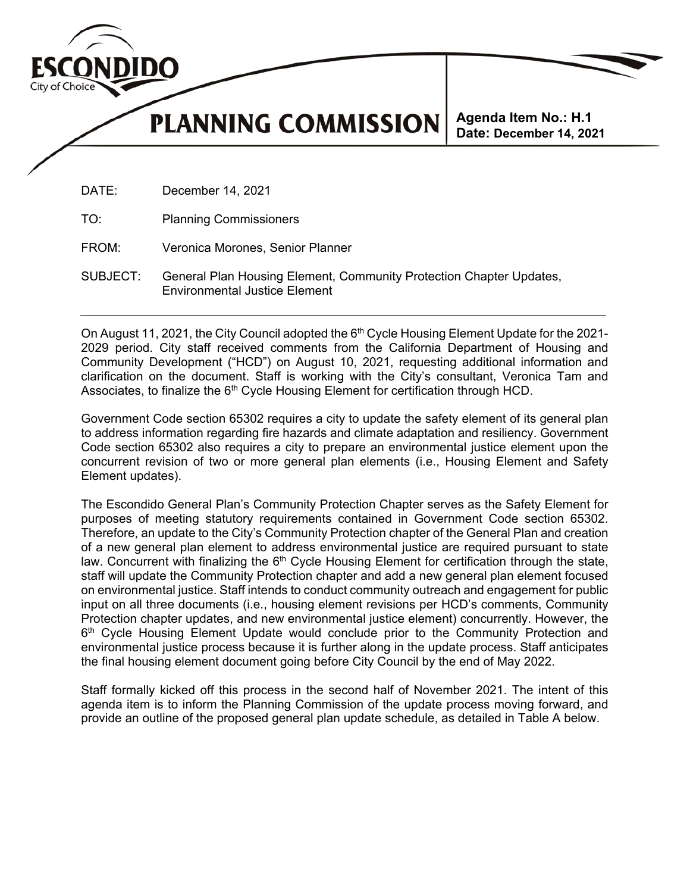

**PLANNING COMMISSION** 

**Agenda Item No.: H.1 Date: December 14, 2021**

DATE: December 14, 2021

TO: Planning Commissioners

FROM: Veronica Morones, Senior Planner

SUBJECT: General Plan Housing Element, Community Protection Chapter Updates, Environmental Justice Element

On August 11, 2021, the City Council adopted the  $6<sup>th</sup>$  Cycle Housing Element Update for the 2021-2029 period. City staff received comments from the California Department of Housing and Community Development ("HCD") on August 10, 2021, requesting additional information and clarification on the document. Staff is working with the City's consultant, Veronica Tam and Associates, to finalize the 6<sup>th</sup> Cycle Housing Element for certification through HCD.

Government Code section 65302 requires a city to update the safety element of its general plan to address information regarding fire hazards and climate adaptation and resiliency. Government Code section 65302 also requires a city to prepare an environmental justice element upon the concurrent revision of two or more general plan elements (i.e., Housing Element and Safety Element updates).

The Escondido General Plan's Community Protection Chapter serves as the Safety Element for purposes of meeting statutory requirements contained in Government Code section 65302. Therefore, an update to the City's Community Protection chapter of the General Plan and creation of a new general plan element to address environmental justice are required pursuant to state law. Concurrent with finalizing the  $6<sup>th</sup>$  Cycle Housing Element for certification through the state, staff will update the Community Protection chapter and add a new general plan element focused on environmental justice. Staff intends to conduct community outreach and engagement for public input on all three documents (i.e., housing element revisions per HCD's comments, Community Protection chapter updates, and new environmental justice element) concurrently. However, the 6<sup>th</sup> Cycle Housing Element Update would conclude prior to the Community Protection and environmental justice process because it is further along in the update process. Staff anticipates the final housing element document going before City Council by the end of May 2022.

Staff formally kicked off this process in the second half of November 2021. The intent of this agenda item is to inform the Planning Commission of the update process moving forward, and provide an outline of the proposed general plan update schedule, as detailed in Table A below.